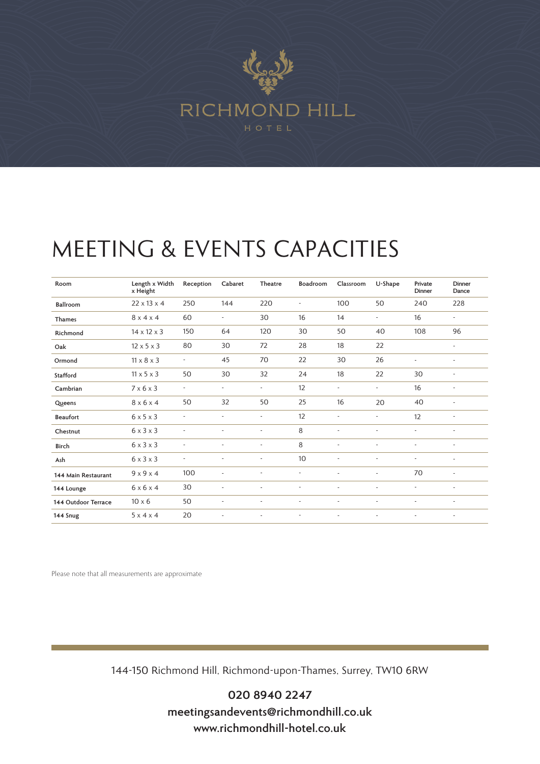

## MEETING & EVENTS CAPACITIES

| Room                | Length x Width<br>x Height | Reception                | Cabaret                  | Theatre                  | Boadroom                 | Classroom                | U-Shape                  | Private<br>Dinner        | Dinner<br>Dance          |
|---------------------|----------------------------|--------------------------|--------------------------|--------------------------|--------------------------|--------------------------|--------------------------|--------------------------|--------------------------|
| Ballroom            | $22 \times 13 \times 4$    | 250                      | 144                      | 220                      | $\overline{a}$           | 100                      | 50                       | 240                      | 228                      |
| <b>Thames</b>       | $8 \times 4 \times 4$      | 60                       | $\overline{\phantom{a}}$ | 30                       | 16                       | 14                       | $\overline{a}$           | 16                       | ٠                        |
| Richmond            | $14 \times 12 \times 3$    | 150                      | 64                       | 120                      | 30                       | 50                       | 40                       | 108                      | 96                       |
| Oak                 | $12 \times 5 \times 3$     | 80                       | 30                       | 72                       | 28                       | 18                       | 22                       |                          | $\overline{\phantom{a}}$ |
| Ormond              | $11 \times 8 \times 3$     | $\overline{\phantom{a}}$ | 45                       | 70                       | 22                       | 30                       | 26                       | $\overline{\phantom{a}}$ | ٠                        |
| Stafford            | $11 \times 5 \times 3$     | 50                       | 30                       | 32                       | 24                       | 18                       | 22                       | 30                       | $\overline{\phantom{a}}$ |
| Cambrian            | $7 \times 6 \times 3$      | $\overline{\phantom{a}}$ | $\overline{\phantom{a}}$ | $\overline{\phantom{a}}$ | 12                       | $\overline{\phantom{a}}$ | $\overline{\phantom{a}}$ | 16                       | $\overline{\phantom{a}}$ |
| Queens              | $8 \times 6 \times 4$      | 50                       | 32                       | 50                       | 25                       | 16                       | 20                       | 40                       | $\overline{\phantom{a}}$ |
| <b>Beaufort</b>     | $6 \times 5 \times 3$      | $\overline{\phantom{a}}$ | $\overline{\phantom{a}}$ | $\overline{\phantom{a}}$ | 12                       | $\overline{\phantom{a}}$ | $\overline{\phantom{a}}$ | 12                       | $\overline{\phantom{a}}$ |
| Chestnut            | $6 \times 3 \times 3$      | $\overline{\phantom{a}}$ | ٠                        | $\overline{\phantom{0}}$ | 8                        | $\overline{\phantom{a}}$ | $\overline{\phantom{a}}$ | ٠                        | ÷.                       |
| Birch               | $6 \times 3 \times 3$      | $\overline{a}$           |                          | $\overline{\phantom{0}}$ | 8                        |                          | $\overline{\phantom{a}}$ |                          |                          |
| Ash                 | $6 \times 3 \times 3$      | $\overline{\phantom{a}}$ | $\overline{\phantom{a}}$ | $\overline{\phantom{a}}$ | 10                       | $\overline{\phantom{a}}$ | $\overline{\phantom{a}}$ | ٠                        | $\overline{\phantom{a}}$ |
| 144 Main Restaurant | 9x9x4                      | 100                      | ٠                        | $\overline{\phantom{a}}$ | $\overline{\phantom{a}}$ | $\overline{\phantom{a}}$ | $\overline{a}$           | 70                       | $\overline{\phantom{a}}$ |
| 144 Lounge          | $6 \times 6 \times 4$      | 30                       | $\overline{\phantom{a}}$ | $\overline{\phantom{a}}$ | ÷                        | $\overline{\phantom{a}}$ | $\overline{a}$           | $\overline{\phantom{a}}$ | $\overline{\phantom{a}}$ |
| 144 Outdoor Terrace | $10 \times 6$              | 50                       |                          |                          | $\overline{a}$           |                          |                          |                          | $\overline{\phantom{a}}$ |
| 144 Snug            | $5 \times 4 \times 4$      | 20                       | $\overline{\phantom{a}}$ | $\overline{a}$           | $\overline{\phantom{a}}$ | $\overline{\phantom{a}}$ | $\overline{\phantom{a}}$ | $\overline{\phantom{a}}$ | $\overline{\phantom{a}}$ |

Please note that all measurements are approximate

144-150 Richmond Hill, Richmond-upon-Thames, Surrey, TW10 6RW

**020 8940 2247 meetingsandevents@richmondhill.co.uk www.richmondhill-hotel.co.uk**